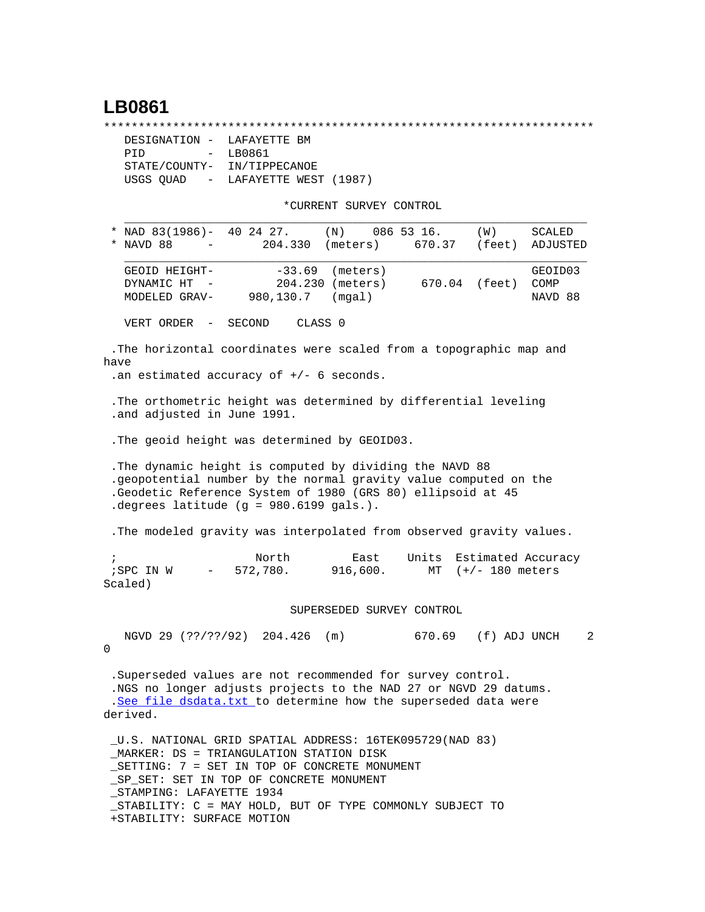## **LB0861**

\*\*\*\*\*\*\*\*\*\*\*\*\*\*\*\*\*\*\*\*\*\*\*\*\*\*\*\*\*\*\*\*\*\*\*\*\*\*\*\*\*\*\*\*\*\*\*\*\*\*\*\*\*\*\*\*\*\*\*\*\*\*\*\*\*\*\*\*\*\*\*

| DESIGNATION - LAFAYETTE BM  |                                   |
|-----------------------------|-----------------------------------|
| PTD.                        | - LB0861                          |
| STATE/COUNTY- IN/TIPPECANOE |                                   |
|                             | USGS OUAD - LAFAYETTE WEST (1987) |

\*CURRENT SURVEY CONTROL

|            | NAD 83(1986)-<br>NAVD 88                                                                                                                                                                                                               |                  | 40 24 27.<br>204.330  | (N)<br>(meters)                        | 086 53 16.<br>670.37 | (W)<br>(feet)                           | SCALED<br>ADJUSTED         |
|------------|----------------------------------------------------------------------------------------------------------------------------------------------------------------------------------------------------------------------------------------|------------------|-----------------------|----------------------------------------|----------------------|-----------------------------------------|----------------------------|
|            | GEOID HEIGHT-<br>DYNAMIC HT<br>MODELED GRAV-                                                                                                                                                                                           | $\sim$ $-$       | $-33.69$<br>980,130.7 | (meters)<br>204.230 (meters)<br>(mqal) |                      | 670.04 (feet)                           | GEOID03<br>COMP<br>NAVD 88 |
|            | VERT ORDER                                                                                                                                                                                                                             | $\sim$ $-$       | SECOND                | CLASS <sub>0</sub>                     |                      |                                         |                            |
| have       | .The horizontal coordinates were scaled from a topographic map and<br>.an estimated accuracy of $+/-$ 6 seconds.                                                                                                                       |                  |                       |                                        |                      |                                         |                            |
|            | . The orthometric height was determined by differential leveling<br>.and adjusted in June 1991.                                                                                                                                        |                  |                       |                                        |                      |                                         |                            |
|            | . The geoid height was determined by GEOID03.                                                                                                                                                                                          |                  |                       |                                        |                      |                                         |                            |
|            | . The dynamic height is computed by dividing the NAVD 88<br>.geopotential number by the normal gravity value computed on the<br>.Geodetic Reference System of 1980 (GRS 80) ellipsoid at 45<br>.degrees latitude (g = 980.6199 gals.). |                  |                       |                                        |                      |                                         |                            |
|            | . The modeled gravity was interpolated from observed gravity values.                                                                                                                                                                   |                  |                       |                                        |                      |                                         |                            |
| $\ddot{i}$ | ; SPC IN W<br>Scaled)                                                                                                                                                                                                                  | $\sim$ 100 $\mu$ | North<br>572,780.     | East<br>916,600.                       | Units<br>MT          | Estimated Accuracy<br>$(+/- 180$ meters |                            |
|            |                                                                                                                                                                                                                                        |                  |                       | SUPERSEDED SURVEY CONTROL              |                      |                                         |                            |
| 0          | NGVD 29 (??/??/92) 204.426                                                                                                                                                                                                             |                  |                       | (m)                                    | 670.69               | (f) ADJ UNCH                            | 2                          |
|            | .Superseded values are not recommended for survey control.<br>.NGS no longer adjusts projects to the NAD 27 or NGVD 29 datums.<br>.See file dsdata.txt to determine how the superseded data were<br>derived.                           |                  |                       |                                        |                      |                                         |                            |
|            | _U.S. NATIONAL GRID SPATIAL ADDRESS: 16TEK095729(NAD 83)<br>MARKER: DS = TRIANGULATION STATION DISK<br>SETTING: 7 = SET IN TOP OF CONCRETE MONUMENT<br>SP SET: SET IN TOP OF CONCRETE MONUMENT<br>STAMPING: LAFAYETTE 1934             |                  |                       |                                        |                      |                                         |                            |

 \_STABILITY: C = MAY HOLD, BUT OF TYPE COMMONLY SUBJECT TO +STABILITY: SURFACE MOTION